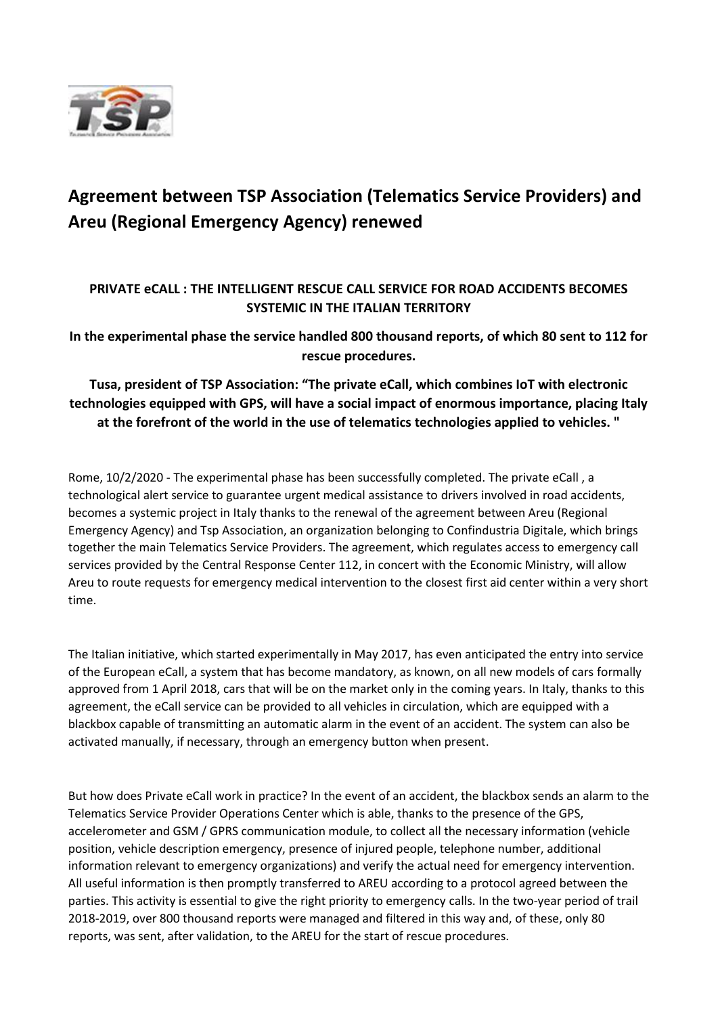

## **Agreement between TSP Association (Telematics Service Providers) and Areu (Regional Emergency Agency) renewed**

## **PRIVATE eCALL : THE INTELLIGENT RESCUE CALL SERVICE FOR ROAD ACCIDENTS BECOMES SYSTEMIC IN THE ITALIAN TERRITORY**

**In the experimental phase the service handled 800 thousand reports, of which 80 sent to 112 for rescue procedures.**

**Tusa, president of TSP Association: "The private eCall, which combines IoT with electronic technologies equipped with GPS, will have a social impact of enormous importance, placing Italy at the forefront of the world in the use of telematics technologies applied to vehicles. "**

Rome, 10/2/2020 - The experimental phase has been successfully completed. The private eCall , a technological alert service to guarantee urgent medical assistance to drivers involved in road accidents, becomes a systemic project in Italy thanks to the renewal of the agreement between Areu (Regional Emergency Agency) and Tsp Association, an organization belonging to Confindustria Digitale, which brings together the main Telematics Service Providers. The agreement, which regulates access to emergency call services provided by the Central Response Center 112, in concert with the Economic Ministry, will allow Areu to route requests for emergency medical intervention to the closest first aid center within a very short time.

The Italian initiative, which started experimentally in May 2017, has even anticipated the entry into service of the European eCall, a system that has become mandatory, as known, on all new models of cars formally approved from 1 April 2018, cars that will be on the market only in the coming years. In Italy, thanks to this agreement, the eCall service can be provided to all vehicles in circulation, which are equipped with a blackbox capable of transmitting an automatic alarm in the event of an accident. The system can also be activated manually, if necessary, through an emergency button when present.

But how does Private eCall work in practice? In the event of an accident, the blackbox sends an alarm to the Telematics Service Provider Operations Center which is able, thanks to the presence of the GPS, accelerometer and GSM / GPRS communication module, to collect all the necessary information (vehicle position, vehicle description emergency, presence of injured people, telephone number, additional information relevant to emergency organizations) and verify the actual need for emergency intervention. All useful information is then promptly transferred to AREU according to a protocol agreed between the parties. This activity is essential to give the right priority to emergency calls. In the two-year period of trail 2018-2019, over 800 thousand reports were managed and filtered in this way and, of these, only 80 reports, was sent, after validation, to the AREU for the start of rescue procedures.